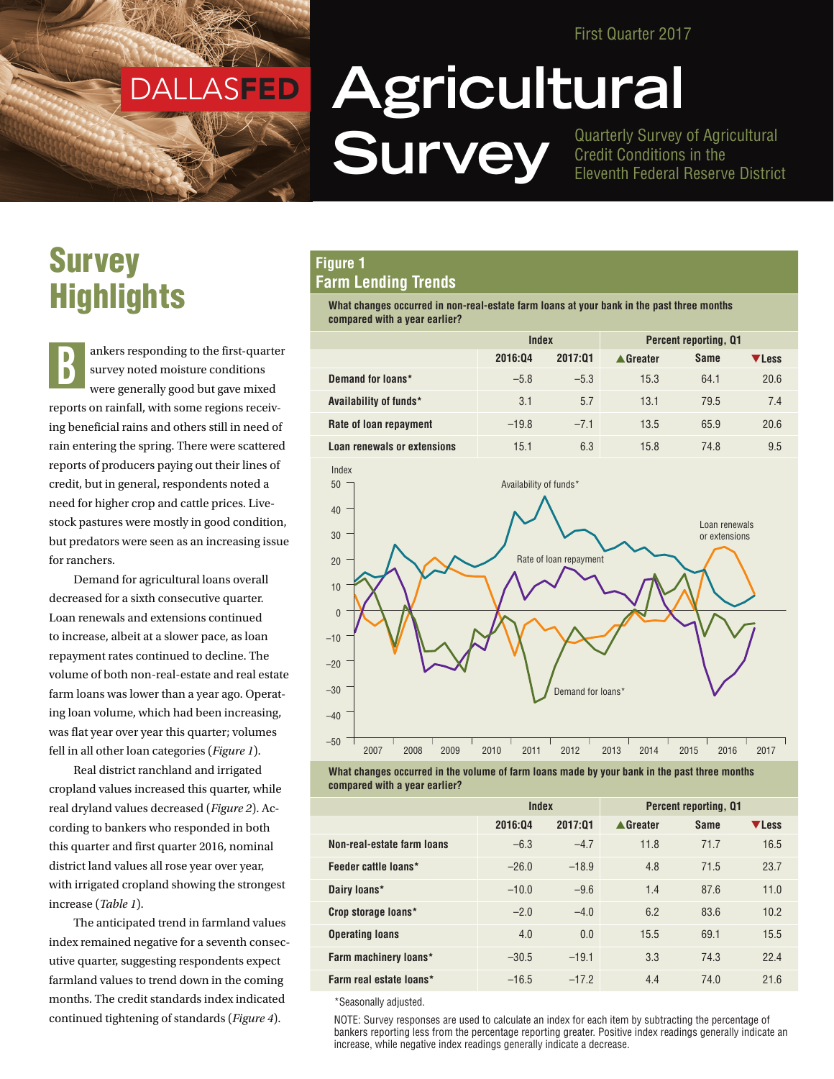First Quarter 2017

## DALLASFED DALLASFED

# **Survey Highlights**

ankers responding to the first-quarter survey noted moisture conditions were generally good but gave mixed reports on rainfall, with some regions receiving beneficial rains and others still in need of rain entering the spring. There were scattered reports of producers paying out their lines of credit, but in general, respondents noted a need for higher crop and cattle prices. Livestock pastures were mostly in good condition, but predators were seen as an increasing issue for ranchers. B

Demand for agricultural loans overall decreased for a sixth consecutive quarter. Loan renewals and extensions continued to increase, albeit at a slower pace, as loan repayment rates continued to decline. The volume of both non-real-estate and real estate farm loans was lower than a year ago. Operating loan volume, which had been increasing, was flat year over year this quarter; volumes fell in all other loan categories (*Figure 1*).

Real district ranchland and irrigated cropland values increased this quarter, while real dryland values decreased (*Figure 2*). According to bankers who responded in both this quarter and first quarter 2016, nominal district land values all rose year over year, with irrigated cropland showing the strongest increase (*Table 1*).

The anticipated trend in farmland values index remained negative for a seventh consecutive quarter, suggesting respondents expect farmland values to trend down in the coming months. The credit standards index indicated continued tightening of standards (*Figure 4*).

# **Agricultural Survey** Guarterly Survey of Agricultural<br>
Eleventh Federal Reserve Distric

Credit Conditions in the Eleventh Federal Reserve District

#### **Figure 1 Farm Lending Trends**

**What changes occurred in non-real-estate farm loans at your bank in the past three months compared with a year earlier?**

|                             | Index   |         | <b>Percent reporting, Q1</b> |             |       |
|-----------------------------|---------|---------|------------------------------|-------------|-------|
|                             | 2016:04 | 2017:01 | ▲ Greater                    | <b>Same</b> | ▼Less |
| Demand for loans*           | $-5.8$  | $-5.3$  | 15.3                         | 64.1        | 20.6  |
| Availability of funds*      | 3.1     | 5.7     | 13.1                         | 79.5        | 7.4   |
| Rate of loan repayment      | $-19.8$ | $-7.1$  | 13.5                         | 65.9        | 20.6  |
| Loan renewals or extensions | 15.1    | 6.3     | 15.8                         | 74.8        | 9.5   |





|                            | Index   |         | <b>Percent reporting, Q1</b> |             |       |
|----------------------------|---------|---------|------------------------------|-------------|-------|
|                            | 2016:04 | 2017:01 | ▲ Greater                    | <b>Same</b> | VLess |
| Non-real-estate farm loans | $-6.3$  | $-4.7$  | 11.8                         | 71.7        | 16.5  |
| Feeder cattle loans*       | $-26.0$ | $-18.9$ | 4.8                          | 71.5        | 23.7  |
| Dairy loans*               | $-10.0$ | $-9.6$  | 1.4                          | 87.6        | 11.0  |
| Crop storage loans*        | $-2.0$  | $-4.0$  | 6.2                          | 83.6        | 10.2  |
| <b>Operating loans</b>     | 4.0     | 0.0     | 15.5                         | 69.1        | 15.5  |
| Farm machinery loans*      | $-30.5$ | $-19.1$ | 3.3                          | 74.3        | 22.4  |
| Farm real estate loans*    | $-16.5$ | $-17.2$ | 4.4                          | 74.0        | 21.6  |

\*Seasonally adjusted.

NOTE: Survey responses are used to calculate an index for each item by subtracting the percentage of bankers reporting less from the percentage reporting greater. Positive index readings generally indicate an increase, while negative index readings generally indicate a decrease.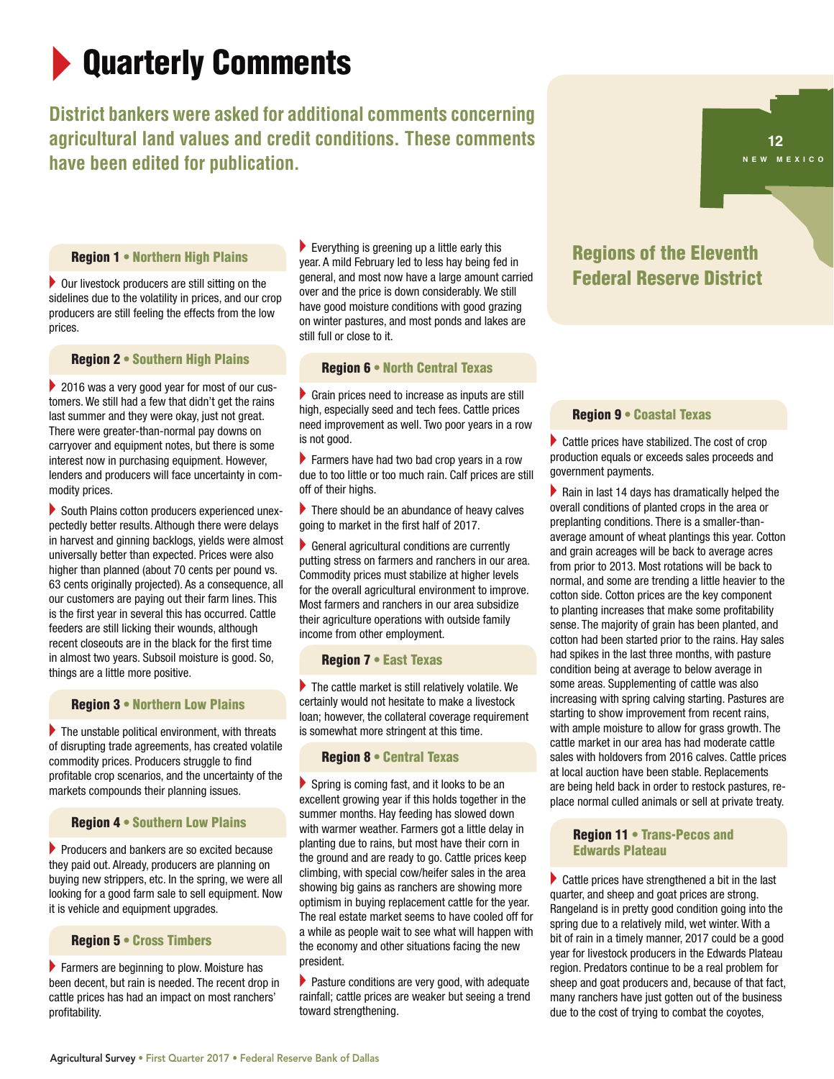# **Quarterly Comments**

## **District bankers were asked for additional comments concerning agricultural land values and credit conditions. These comments have been edited for publication.**



#### Region 1 • Northern High Plains

 $\triangleright$  Our livestock producers are still sitting on the sidelines due to the volatility in prices, and our crop producers are still feeling the effects from the low prices.

Region 2 • Southern High Plains

 $\triangleright$  2016 was a very good year for most of our customers. We still had a few that didn't get the rains last summer and they were okay, just not great. There were greater-than-normal pay downs on carryover and equipment notes, but there is some interest now in purchasing equipment. However, lenders and producers will face uncertainty in commodity prices.

 $\triangleright$  South Plains cotton producers experienced unexpectedly better results. Although there were delays in harvest and ginning backlogs, yields were almost universally better than expected. Prices were also higher than planned (about 70 cents per pound vs. 63 cents originally projected). As a consequence, all our customers are paying out their farm lines. This is the first year in several this has occurred. Cattle feeders are still licking their wounds, although recent closeouts are in the black for the first time in almost two years. Subsoil moisture is good. So, things are a little more positive.

#### Region 3 • Northern Low Plains

 $\blacktriangleright$  The unstable political environment, with threats of disrupting trade agreements, has created volatile commodity prices. Producers struggle to find profitable crop scenarios, and the uncertainty of the markets compounds their planning issues.

#### Region 4 • Southern Low Plains

 $\blacktriangleright$  Producers and bankers are so excited because they paid out. Already, producers are planning on buying new strippers, etc. In the spring, we were all looking for a good farm sale to sell equipment. Now it is vehicle and equipment upgrades.

#### Region 5 • Cross Timbers

 $\blacktriangleright$  Farmers are beginning to plow. Moisture has been decent, but rain is needed. The recent drop in cattle prices has had an impact on most ranchers' profitability.

 $\blacktriangleright$  Everything is greening up a little early this year. A mild February led to less hay being fed in general, and most now have a large amount carried over and the price is down considerably. We still have good moisture conditions with good grazing on winter pastures, and most ponds and lakes are still full or close to it.

#### Region 6 • North Central Texas

 $\triangleright$  Grain prices need to increase as inputs are still high, especially seed and tech fees. Cattle prices need improvement as well. Two poor years in a row is not good.

 $\blacktriangleright$  Farmers have had two bad crop years in a row due to too little or too much rain. Calf prices are still off of their highs.

 $\blacktriangleright$  There should be an abundance of heavy calves going to market in the first half of 2017.

 $\blacktriangleright$  General agricultural conditions are currently putting stress on farmers and ranchers in our area. Commodity prices must stabilize at higher levels for the overall agricultural environment to improve. Most farmers and ranchers in our area subsidize their agriculture operations with outside family income from other employment.

#### Region 7 • East Texas

 $\blacktriangleright$  The cattle market is still relatively volatile. We certainly would not hesitate to make a livestock loan; however, the collateral coverage requirement is somewhat more stringent at this time.

#### Region 8 • Central Texas

 $\blacktriangleright$  Spring is coming fast, and it looks to be an excellent growing year if this holds together in the summer months. Hay feeding has slowed down with warmer weather. Farmers got a little delay in planting due to rains, but most have their corn in the ground and are ready to go. Cattle prices keep climbing, with special cow/heifer sales in the area showing big gains as ranchers are showing more optimism in buying replacement cattle for the year. The real estate market seems to have cooled off for a while as people wait to see what will happen with the economy and other situations facing the new president.

 $\blacktriangleright$  Pasture conditions are very good, with adequate rainfall; cattle prices are weaker but seeing a trend toward strengthening.

### Regions of the Eleventh Federal Reserve District

#### Region 9 • Coastal Texas

 $\blacktriangleright$  Cattle prices have stabilized. The cost of crop production equals or exceeds sales proceeds and government payments.

 $\blacktriangleright$  Rain in last 14 days has dramatically helped the overall conditions of planted crops in the area or preplanting conditions. There is a smaller-thanaverage amount of wheat plantings this year. Cotton and grain acreages will be back to average acres from prior to 2013. Most rotations will be back to normal, and some are trending a little heavier to the cotton side. Cotton prices are the key component to planting increases that make some profitability sense. The majority of grain has been planted, and cotton had been started prior to the rains. Hay sales had spikes in the last three months, with pasture condition being at average to below average in some areas. Supplementing of cattle was also increasing with spring calving starting. Pastures are starting to show improvement from recent rains, with ample moisture to allow for grass growth. The cattle market in our area has had moderate cattle sales with holdovers from 2016 calves. Cattle prices at local auction have been stable. Replacements are being held back in order to restock pastures, replace normal culled animals or sell at private treaty.

#### Region 11 • Trans-Pecos and Edwards Plateau

 $\triangleright$  Cattle prices have strengthened a bit in the last quarter, and sheep and goat prices are strong. Rangeland is in pretty good condition going into the spring due to a relatively mild, wet winter. With a bit of rain in a timely manner, 2017 could be a good year for livestock producers in the Edwards Plateau region. Predators continue to be a real problem for sheep and goat producers and, because of that fact, many ranchers have just gotten out of the business due to the cost of trying to combat the coyotes,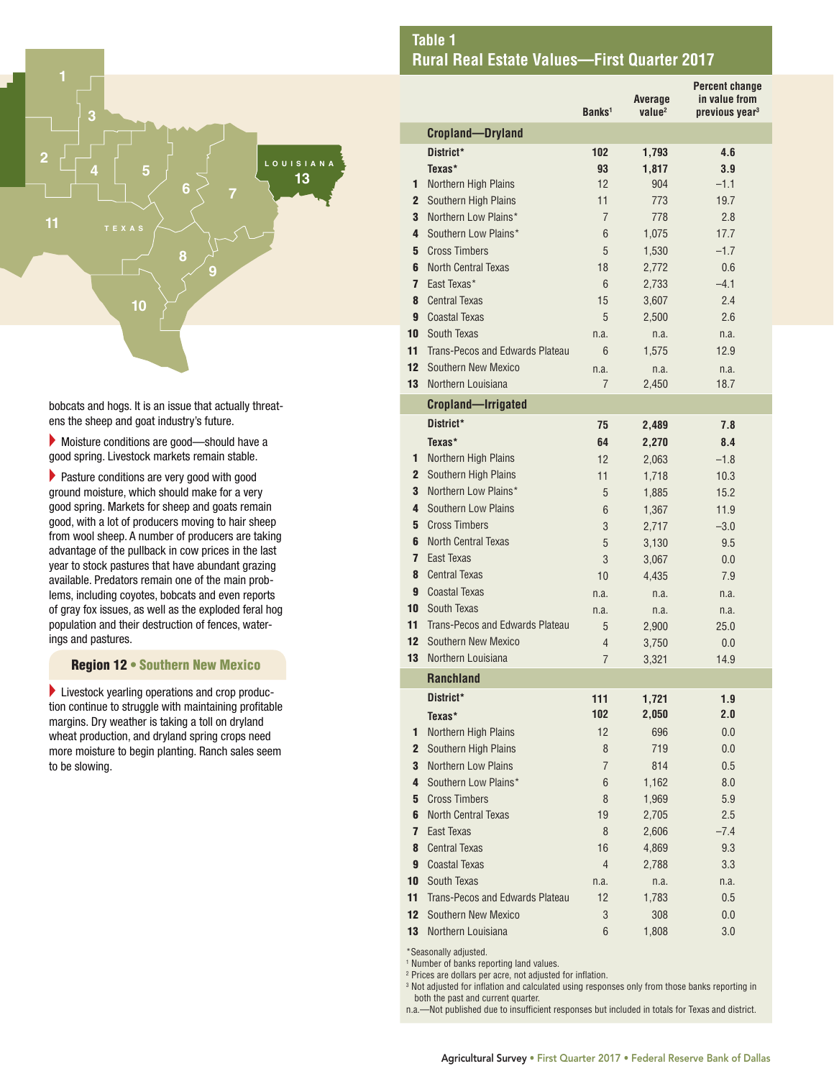

bobcats and hogs. It is an issue that actually threatens the sheep and goat industry's future.

 $\blacktriangleright$  Moisture conditions are good—should have a good spring. Livestock markets remain stable.

 $\blacktriangleright$  Pasture conditions are very good with good ground moisture, which should make for a very good spring. Markets for sheep and goats remain good, with a lot of producers moving to hair sheep from wool sheep. A number of producers are taking advantage of the pullback in cow prices in the last year to stock pastures that have abundant grazing available. Predators remain one of the main problems, including coyotes, bobcats and even reports of gray fox issues, as well as the exploded feral hog population and their destruction of fences, waterings and pastures.

#### Region 12 • Southern New Mexico

 $\blacktriangleright$  Livestock yearling operations and crop production continue to struggle with maintaining profitable margins. Dry weather is taking a toll on dryland wheat production, and dryland spring crops need more moisture to begin planting. Ranch sales seem to be slowing.

|                         |                                             | Banks <sup>1</sup>  | Average<br>value <sup>2</sup> | Percent change<br>in value from<br>previous year <sup>3</sup> |
|-------------------------|---------------------------------------------|---------------------|-------------------------------|---------------------------------------------------------------|
|                         | <b>Cropland-Dryland</b>                     |                     |                               |                                                               |
|                         | District*                                   | 102                 | 1,793                         | 4.6                                                           |
|                         | Texas*                                      | 93                  | 1.817                         | 3.9                                                           |
| 1                       | Northern High Plains                        | 12                  | 904                           | $-1.1$                                                        |
| $\mathbf{2}$            | Southern High Plains                        | 11                  | 773                           | 19.7                                                          |
| 3                       | Northern Low Plains*                        | 7                   | 778                           | 2.8                                                           |
| 4                       | Southern Low Plains*                        | 6                   | 1,075                         | 17.7                                                          |
| 5                       | <b>Cross Timbers</b>                        | 5                   | 1,530                         | $-1.7$                                                        |
| 6                       | <b>North Central Texas</b>                  | 18                  | 2,772                         | 0.6                                                           |
| $\overline{ }$          | East Texas*                                 | 6                   | 2,733                         | $-4.1$                                                        |
| 8                       | <b>Central Texas</b>                        | 15                  | 3,607                         | 2.4                                                           |
| 9                       | <b>Coastal Texas</b>                        | 5                   | 2,500                         | 2.6                                                           |
| 10                      | South Texas                                 | n.a.                | n.a.                          | n.a.                                                          |
| 11                      | Trans-Pecos and Edwards Plateau             | 6                   | 1,575                         | 12.9                                                          |
| 12                      | Southern New Mexico                         | n.a.                | n.a.                          | n.a.                                                          |
| 13                      | Northern Louisiana                          | 7                   | 2,450                         | 18.7                                                          |
|                         | Cropland-Irrigated                          |                     |                               |                                                               |
|                         | District*                                   | 75                  | 2,489                         | 7.8                                                           |
|                         | Texas*                                      | 64                  | 2,270                         | 8.4                                                           |
| 1                       | Northern High Plains                        | 12                  | 2,063                         | $-1.8$                                                        |
| $\mathbf{2}$            | Southern High Plains                        | 11                  | 1,718                         | 10.3                                                          |
| 3                       | Northern Low Plains*                        | 5                   | 1,885                         | 15.2                                                          |
| 4                       | Southern Low Plains                         | 6                   | 1,367                         | 11.9                                                          |
| 5                       | <b>Cross Timbers</b>                        | 3                   | 2,717                         | $-3.0$                                                        |
| 6                       | <b>North Central Texas</b>                  | 5                   | 3,130                         | 9.5                                                           |
| 7                       | East Texas                                  | 3                   | 3,067                         | 0.0                                                           |
| 8                       | <b>Central Texas</b>                        | 10                  | 4,435                         | 7.9                                                           |
| 9                       | <b>Coastal Texas</b>                        | n.a.                | n.a.                          | n.a.                                                          |
| 10                      | South Texas                                 | n.a.                | n.a.                          | n.a.                                                          |
| 11                      | Trans-Pecos and Edwards Plateau             | 5                   | 2,900                         | 25.0                                                          |
| 12<br>13                | Southern New Mexico<br>Northern Louisiana   | 4                   | 3,750                         | 0.0                                                           |
|                         |                                             | $\overline{7}$      | 3.321                         | 14.9                                                          |
|                         | <b>Ranchland</b>                            |                     |                               |                                                               |
|                         | District*                                   | 111                 | 1,721                         | 1.9                                                           |
|                         | Texas*                                      | 102                 | 2,050                         | 2.0                                                           |
| 1                       | Northern High Plains                        | 12                  | 696                           | 0.0                                                           |
| $\overline{2}$          | Southern High Plains                        | 8<br>$\overline{7}$ | 719                           | 0.0                                                           |
| 3<br>4                  | Northern Low Plains<br>Southern Low Plains* |                     | 814                           | 0.5                                                           |
| 5                       | <b>Cross Timbers</b>                        | 6<br>8              | 1,162                         | 8.0                                                           |
| 6                       | <b>North Central Texas</b>                  | 19                  | 1,969<br>2,705                | 5.9<br>2.5                                                    |
| $\overline{\mathbf{r}}$ | East Texas                                  | 8                   | 2,606                         | $-7.4$                                                        |
| 8                       | <b>Central Texas</b>                        | 16                  | 4,869                         | 9.3                                                           |
| 9                       | <b>Coastal Texas</b>                        | $\overline{4}$      | 2,788                         | 3.3                                                           |
| 10                      | South Texas                                 | n.a.                | n.a.                          | n.a.                                                          |
| 11                      | Trans-Pecos and Edwards Plateau             | 12                  | 1,783                         | 0.5                                                           |
|                         | <b>12</b> Southern New Mexico               | 3                   | 308                           | 0.0                                                           |

\*Seasonally adjusted.

<sup>1</sup> Number of banks reporting land values.

2 Prices are dollars per acre, not adjusted for inflation.

3 Not adjusted for inflation and calculated using responses only from those banks reporting in both the past and current quarter.

**13** Northern Louisiana 6 1,808 3.0

n.a.—Not published due to insufficient responses but included in totals for Texas and district.

#### **Table 1 Rural Real Estate Values—First Quarter 2017**